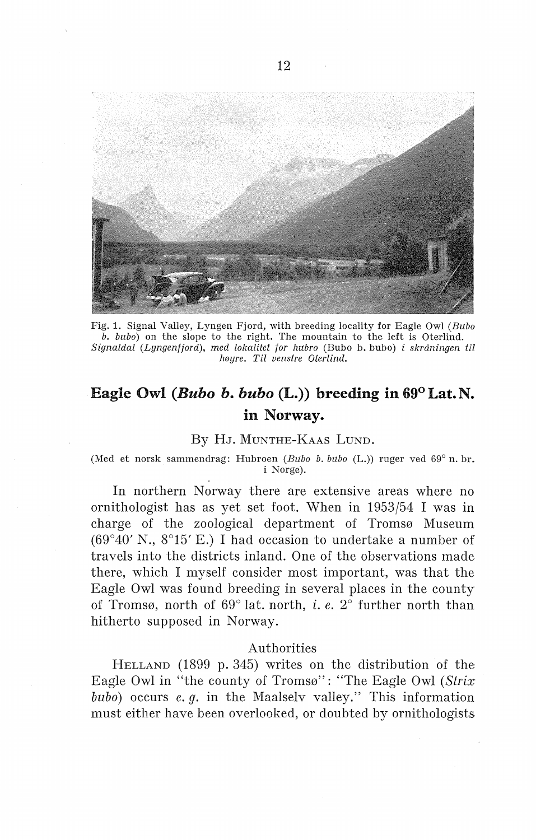

Fig. 1. Signal Valley, Lyngen Fjord, with breeding locality for Eagle Owl *(Bubo b. bubo)* on the slope to the right. The mountain to the left is Oterlind. *Signaldal (Lyngen/jord), med lokalitet for hubro* (Bubo b. bubo) *i skråningen* til *høyre. Til venstre Oterlind.* 

# **Eagle Owl** *(Bubo b. bubo* **(L.)) breeding in 69°Lat.N. in Norway.**

#### By HJ. MUNTHE-KAAS LUND.

(Med et norsk sammendrag: Hubroen *(Bubo b. bubo* (L.)) ruger ved 69° n. br. i Norge).

In northern Norway there are extensive areas where no ornithologist has as yet set foot. When in 1953/54 I was in charge of the zoological department of Tromsø Museum (69°40' N., 8°15' E.) I had occasion to undertake a number of travels into the districts inland. One of the observations made there, which I myself consider most important, was that the Eagle Owl was found breeding in several places in the county of Tromsø, north of 69° lat. north, i. *e.* 2° further north than hitherto supposed in Norway.

## Authorities

HELLAND (1899 p. 345) writes on the distribution of the Eagle Owl in "the county of Tromsø": "The Eagle Owl (Strix *bubo)* occurs *e.* g. in the Maalselv valley." This information must either have been overlooked, or doubted by ornithologists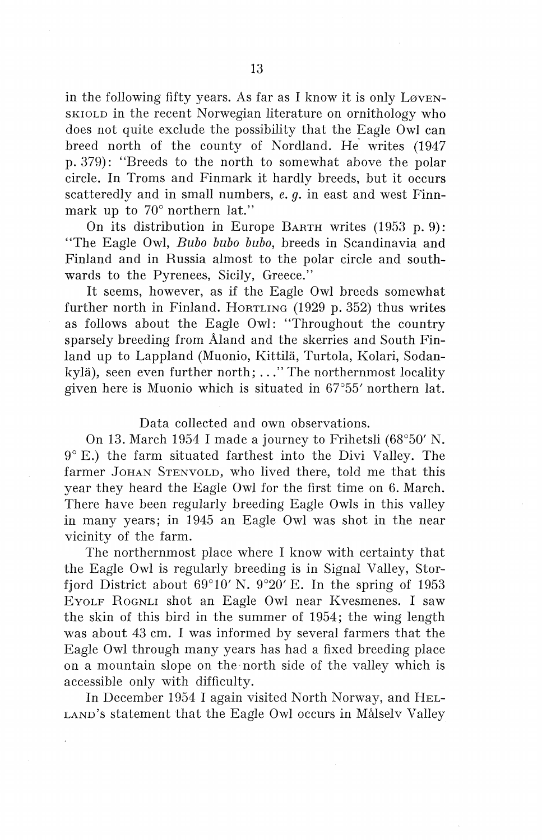in the following fifty years. As far as I know it is only  $L\omega_{\text{EN-}}$ SKIOLD in the recent Norwegian literature on ornithology who does not quite exclude the possibility that the Eagle Owl can breed north of the county of Nordland. He writes (1947 p. 379): "Breeds to the north to somewhat above the polar circle. In Troms and Finmark it hardly breeds, but it occurs scatteredly and in small numbers, *e. q.* in east and west Finnmark up to 70° northern lat."

On its distribution in Europe BARTH writes (1953 p. 9): ''The Eagle Owl, *Bubo bubo bubo,* breeds in Scandinavia and Finland and in Russia almost to the polar circle and southwards to the Pyrenees, Sicily, Greece."

It seems, however, as if the Eagle Owl breeds somewhat further north in Finland. HoRTLING (1929 p. 352) thus writes as follows about the Eagle Owl: "Throughout the country sparsely breeding from Åland and the skerries and South Finland up to Lappland (Muonio, Kittila, Turtola, Kolari, Sodankyla), seen even further north; ... " The northernmost locality given here is Muonio which is situated in 67°55' northern lat.

## Data collected and own observations.

On 13. March 1954 I made a journey to Frihetsli (68°50' N. 9° E.) the farm situated farthest into the Divi Valley. The farmer JOHAN STENVOLD, who lived there, told me that this year they heard the Eagle Owl for the first time on 6. March. There have been regularly breeding Eagle Owls in this valley in many years; in 1945 an Eagle Owl was shot in the near vicinity of the farm.

The northernmost place where I know with certainty that the Eagle Owl is regularly breeding is in Signal Valley, Storfjord District about 69°10' N. 9°20' E. In the spring of 1953 EYOLF RoGNLI shot an Eagle Owl near K vesmenes. I saw the skin of this bird in the summer of 1954; the wing length was about 43 cm. I was informed by several farmers that the Eagle Owl through many years has had a fixed breeding place on a mountain slope on the · north side of the valley which is accessible only with difficulty.

In December 1954 I again visited North Norway, and HEL-LAND's statement that the Eagle Owl occurs in Målselv Valley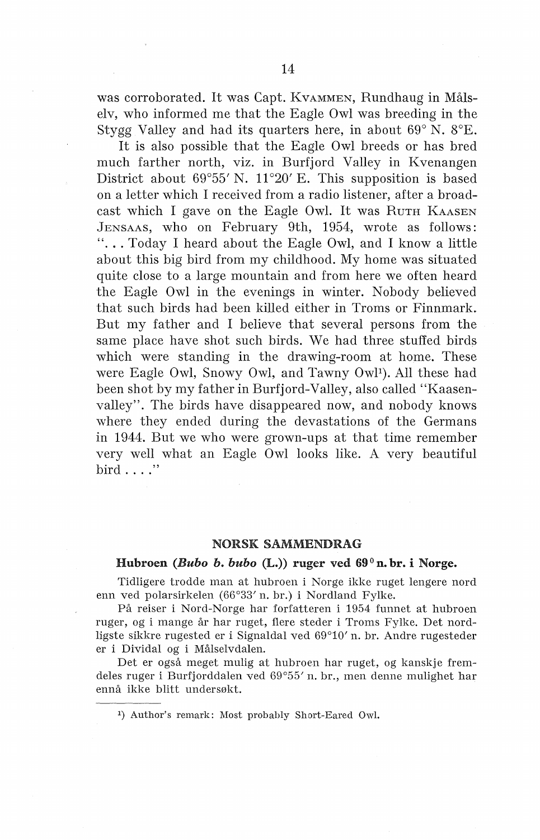was corroborated. It was Capt. KvAMMEN, Rundhaug in Målselv, who informed me that the Eagle Owl was breeding in the Stygg Valley and had its quarters here, in about 69° N. 8°E.

It is also possible that the Eagle Owl breeds or has bred much farther north, viz. in Burfjord Valley in Kvenangen District about 69°55' N. 11°20' E. This supposition is based on a letter which I received from a radio listener, after a broadcast which I gave on the Eagle Owl. It was RUTH KAASEN JENSAAS, who on February 9th, 1954, wrote as follows: "... Today I heard about the Eagle Owl, and I know a little about this big bird from my childhood. My home was situated quite close to a large mountain and from here we often heard the Eagle Owl in the evenings in winter. Nobody believed that such birds had been killed either in Troms or Finnmark. But my father and I believe that several persons from the same place have shot such birds. We had three stuffed birds which were standing in the drawing-room at home. These were Eagle Owl, Snowy Owl, and Tawny Owl<sup>1</sup>). All these had been shot by my father in Burfjord-Valley, also called "Kaasenvalley". The birds have disappeared now, and nobody knows where they ended during the devastations of the Germans in 1944. But we who were grown-ups at that time remember very well what an Eagle Owl looks like. A very beautiful bird  $\ldots$  ."

#### NORSK SAMMENDRAG

#### Hubroen *(Bubo b. bubo* (L.)) ruger ved 69°n. br. i Norge.

Tidligere trodde man at hubroen i Norge ikke ruget lengere nord enn ved polarsirkelen (66°33' n. br.) i Nordland Fylke.

På reiser i Nord-Norge har forfatteren i 1954 funnet at hubroen ruger, og i mange år har ruget, flere steder i Troms Fylke. Det nordligste sikkre rugested er i Signaldal ved 69°10' n. br. Andre rugesteder er i Dividal og i Målselvdalen.

Det er også meget mulig at hubroen har ruget, og kanskje fremdeles ruger i Burfjorddalen ved 69°55' n. br., men denne mulighet har ennå ikke blitt undersøkt.

1) Author's remark: Most probahly Short-Eared Owl.